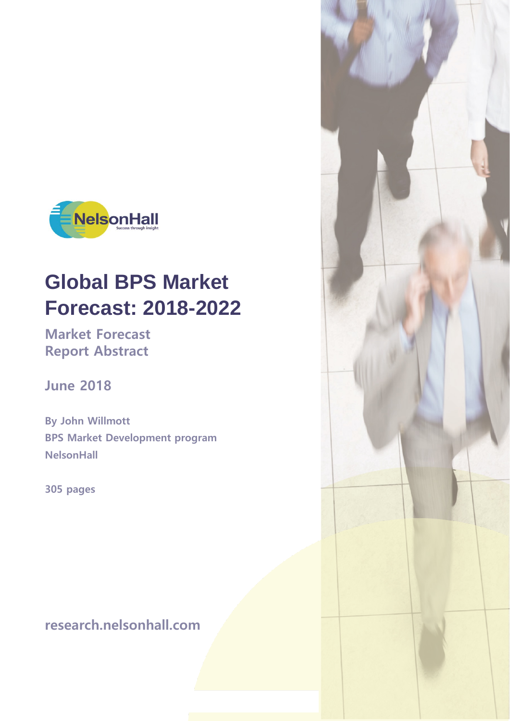

# **Global BPS Market Forecast: 2018-2022**

**Market Forecast Report Abstract**

**June 2018**

**By John Willmott BPS Market Development program NelsonHall**

**305 pages**

**research.nelsonhall.com**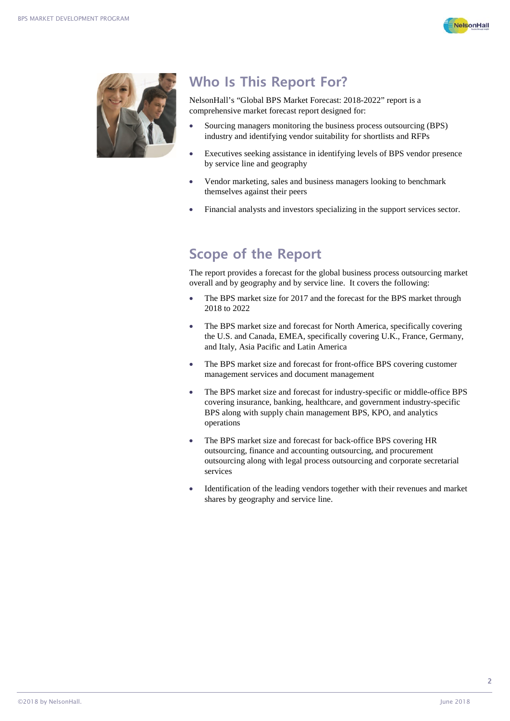



## **Who Is This Report For?**

NelsonHall's "Global BPS Market Forecast: 2018-2022" report is a comprehensive market forecast report designed for:

- Sourcing managers monitoring the business process outsourcing (BPS) industry and identifying vendor suitability for shortlists and RFPs
- Executives seeking assistance in identifying levels of BPS vendor presence by service line and geography
- Vendor marketing, sales and business managers looking to benchmark themselves against their peers
- Financial analysts and investors specializing in the support services sector.

#### **Scope of the Report**

The report provides a forecast for the global business process outsourcing market overall and by geography and by service line. It covers the following:

- The BPS market size for 2017 and the forecast for the BPS market through 2018 to 2022
- The BPS market size and forecast for North America, specifically covering the U.S. and Canada, EMEA, specifically covering U.K., France, Germany, and Italy, Asia Pacific and Latin America
- The BPS market size and forecast for front-office BPS covering customer management services and document management
- The BPS market size and forecast for industry-specific or middle-office BPS covering insurance, banking, healthcare, and government industry-specific BPS along with supply chain management BPS, KPO, and analytics operations
- The BPS market size and forecast for back-office BPS covering HR outsourcing, finance and accounting outsourcing, and procurement outsourcing along with legal process outsourcing and corporate secretarial services
- Identification of the leading vendors together with their revenues and market shares by geography and service line.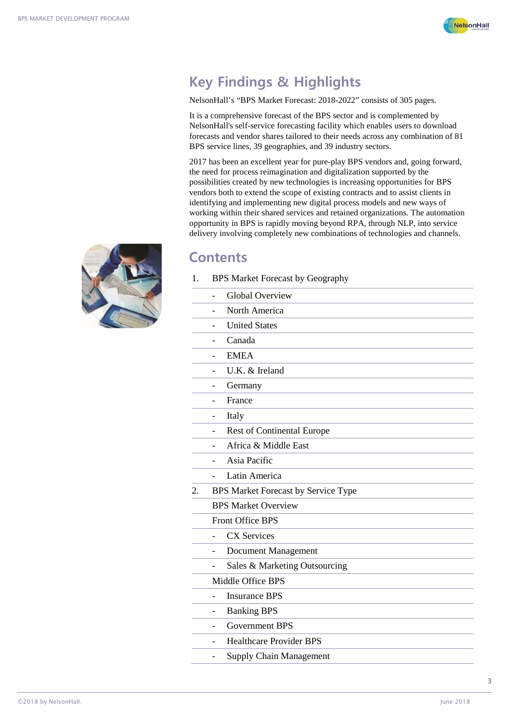

## **Key Findings & Highlights**

NelsonHall's "BPS Market Forecast: 2018-2022" consists of 305 pages.

It is a comprehensive forecast of the BPS sector and is complemented by NelsonHall's self-service forecasting facility which enables users to download forecasts and vendor shares tailored to their needs across any combination of 81 BPS service lines, 39 geographies, and 39 industry sectors.

2017 has been an excellent year for pure-play BPS vendors and, going forward, the need for process reimagination and digitalization supported by the possibilities created by new technologies is increasing opportunities for BPS vendors both to extend the scope of existing contracts and to assist clients in identifying and implementing new digital process models and new ways of working within their shared services and retained organizations. The automation opportunity in BPS is rapidly moving beyond RPA, through NLP, into service delivery involving completely new combinations of technologies and channels.

#### **Contents**

1. BPS Market Forecast by Geography

|    | <b>Global Overview</b>                                        |
|----|---------------------------------------------------------------|
|    | North America                                                 |
|    | <b>United States</b>                                          |
|    | Canada<br>$\overline{\phantom{a}}$                            |
|    | <b>EMEA</b>                                                   |
|    | U.K. & Ireland<br>$\overline{a}$                              |
|    | Germany<br>$\overline{a}$                                     |
|    | France<br>$\overline{a}$                                      |
|    | Italy<br>$\overline{a}$                                       |
|    | <b>Rest of Continental Europe</b><br>$\overline{\phantom{0}}$ |
|    | Africa & Middle East                                          |
|    | Asia Pacific<br>$\overline{\phantom{a}}$                      |
|    | Latin America<br>$\blacksquare$                               |
| 2. | BPS Market Forecast by Service Type                           |
|    | <b>BPS Market Overview</b>                                    |
|    | Front Office BPS                                              |
|    | <b>CX Services</b><br>$\overline{a}$                          |
|    | Document Management<br>$\blacksquare$                         |
|    | Sales & Marketing Outsourcing                                 |
|    | Middle Office BPS                                             |
|    | <b>Insurance BPS</b>                                          |
|    | <b>Banking BPS</b><br>$\overline{\phantom{0}}$                |
|    | <b>Government BPS</b>                                         |
|    | <b>Healthcare Provider BPS</b><br>$\overline{a}$              |
|    | <b>Supply Chain Management</b>                                |
|    |                                                               |